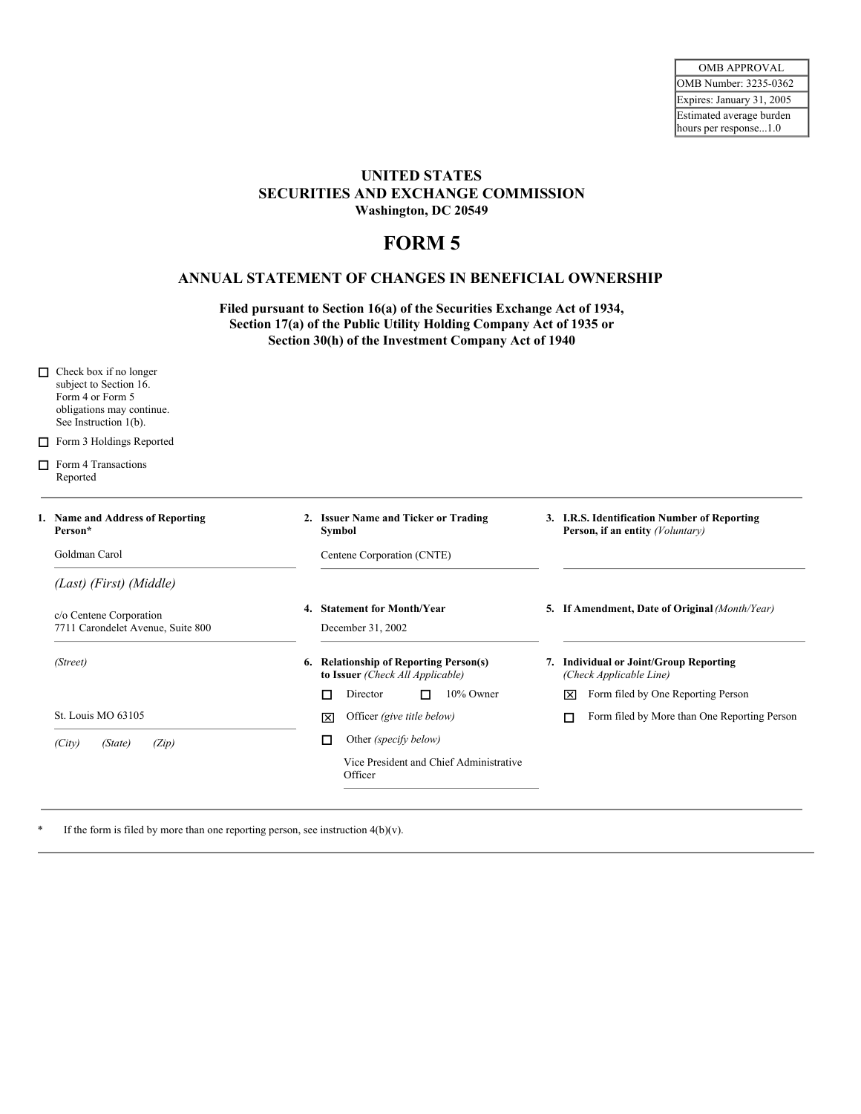## **UNITED STATES SECURITIES AND EXCHANGE COMMISSION Washington, DC 20549**

## **FORM 5**

## **ANNUAL STATEMENT OF CHANGES IN BENEFICIAL OWNERSHIP**

**Filed pursuant to Section 16(a) of the Securities Exchange Act of 1934, Section 17(a) of the Public Utility Holding Company Act of 1935 or Section 30(h) of the Investment Company Act of 1940**

| П      | Check box if no longer<br>subject to Section 16.<br>Form 4 or Form 5<br>obligations may continue.<br>See Instruction 1(b). |                                                                            |                                                                                  |
|--------|----------------------------------------------------------------------------------------------------------------------------|----------------------------------------------------------------------------|----------------------------------------------------------------------------------|
| $\Box$ | Form 3 Holdings Reported                                                                                                   |                                                                            |                                                                                  |
|        | $\Box$ Form 4 Transactions<br>Reported                                                                                     |                                                                            |                                                                                  |
|        | 1. Name and Address of Reporting<br>Person*                                                                                | 2. Issuer Name and Ticker or Trading<br>Symbol                             | 3. I.R.S. Identification Number of Reporting<br>Person, if an entity (Voluntary) |
|        | Goldman Carol                                                                                                              | Centene Corporation (CNTE)                                                 |                                                                                  |
|        | (Last) (First) (Middle)                                                                                                    |                                                                            |                                                                                  |
|        | c/o Centene Corporation<br>7711 Carondelet Avenue, Suite 800                                                               | 4. Statement for Month/Year<br>December 31, 2002                           | 5. If Amendment, Date of Original (Month/Year)                                   |
|        | (Street)                                                                                                                   | 6. Relationship of Reporting Person(s)<br>to Issuer (Check All Applicable) | 7. Individual or Joint/Group Reporting<br>(Check Applicable Line)                |
|        |                                                                                                                            | 10% Owner<br>Director<br>п<br>п                                            | Form filed by One Reporting Person<br>ञि                                         |
|        | St. Louis MO 63105                                                                                                         | Officer (give title below)<br>冈                                            | Form filed by More than One Reporting Person<br>П                                |
|        | (Citv)<br>(State)<br>(Zip)                                                                                                 | Other (specify below)<br>□                                                 |                                                                                  |
|        |                                                                                                                            | Vice President and Chief Administrative<br>Officer                         |                                                                                  |
|        |                                                                                                                            |                                                                            |                                                                                  |

\* If the form is filed by more than one reporting person, see instruction 4(b)(v).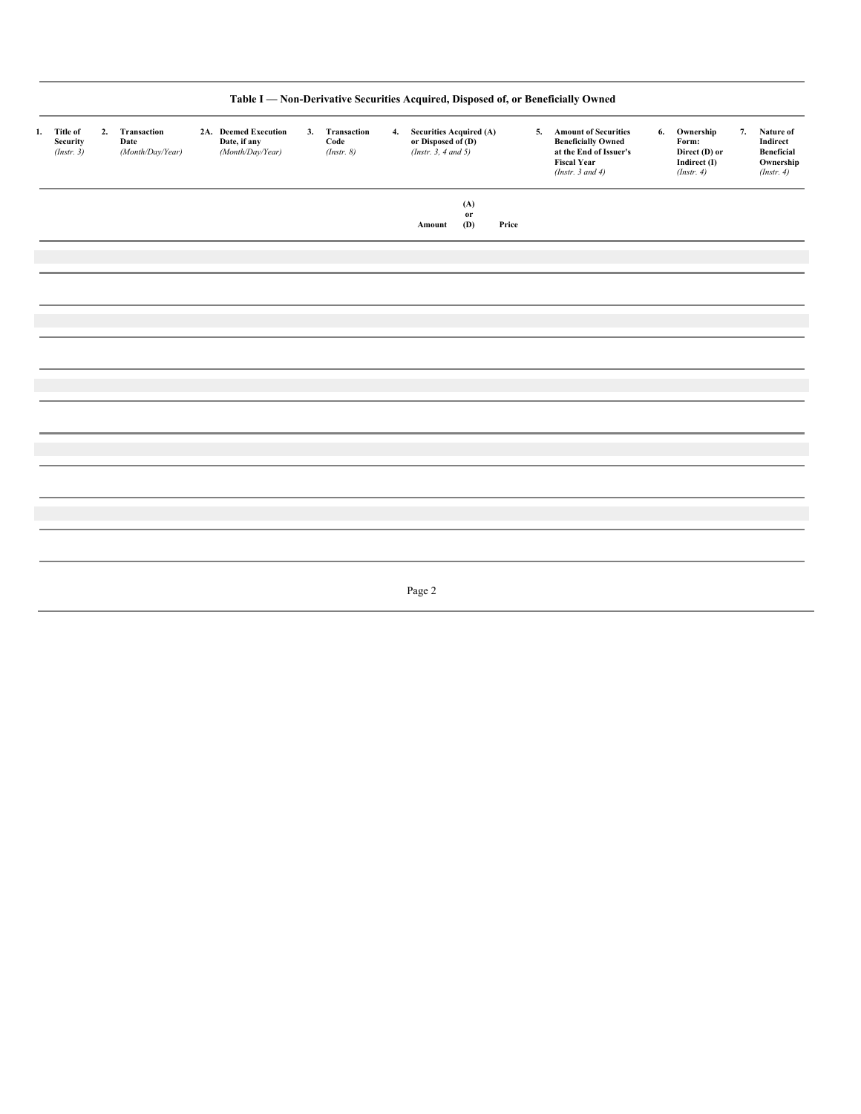|    |                                           |    |                                         |                                                          |                                      |    |                                                                                 |                  |       | Table I - Non-Derivative Securities Acquired, Disposed of, or Beneficially Owned                                              |    |                                                                   |    |                                                                 |
|----|-------------------------------------------|----|-----------------------------------------|----------------------------------------------------------|--------------------------------------|----|---------------------------------------------------------------------------------|------------------|-------|-------------------------------------------------------------------------------------------------------------------------------|----|-------------------------------------------------------------------|----|-----------------------------------------------------------------|
| 1. | <b>Title of</b><br>Security<br>(Instr. 3) | 2. | Transaction<br>Date<br>(Month/Day/Year) | 2A. Deemed Execution<br>Date, if any<br>(Month/Day/Year) | 3. Transaction<br>Code<br>(Instr. 8) | 4. | <b>Securities Acquired (A)</b><br>or Disposed of (D)<br>(Instr. $3, 4$ and $5)$ |                  |       | 5. Amount of Securities<br><b>Beneficially Owned</b><br>at the End of Issuer's<br><b>Fiscal Year</b><br>(Instr. $3$ and $4$ ) | 6. | Ownership<br>Form:<br>Direct (D) or<br>Indirect (I)<br>(Instr. 4) | 7. | Nature of<br>Indirect<br>Beneficial<br>Ownership<br>(Insert. 4) |
|    |                                           |    |                                         |                                                          |                                      |    | Amount                                                                          | (A)<br>or<br>(D) | Price |                                                                                                                               |    |                                                                   |    |                                                                 |
|    |                                           |    |                                         |                                                          |                                      |    |                                                                                 |                  |       |                                                                                                                               |    |                                                                   |    |                                                                 |
|    |                                           |    |                                         |                                                          |                                      |    |                                                                                 |                  |       |                                                                                                                               |    |                                                                   |    |                                                                 |
|    |                                           |    |                                         |                                                          |                                      |    |                                                                                 |                  |       |                                                                                                                               |    |                                                                   |    |                                                                 |
|    |                                           |    |                                         |                                                          |                                      |    |                                                                                 |                  |       |                                                                                                                               |    |                                                                   |    |                                                                 |
|    |                                           |    |                                         |                                                          |                                      |    |                                                                                 |                  |       |                                                                                                                               |    |                                                                   |    |                                                                 |
|    |                                           |    |                                         |                                                          |                                      |    |                                                                                 |                  |       |                                                                                                                               |    |                                                                   |    |                                                                 |
|    |                                           |    |                                         |                                                          |                                      |    | Page 2                                                                          |                  |       |                                                                                                                               |    |                                                                   |    |                                                                 |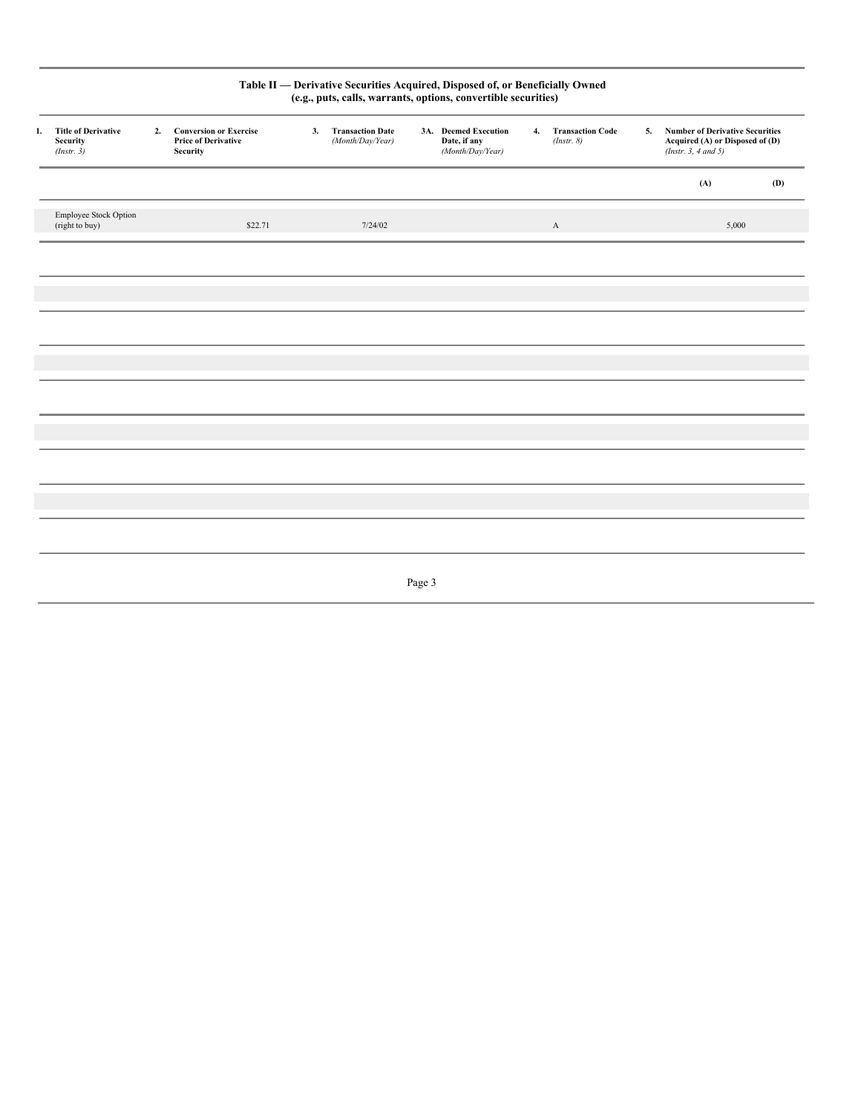|                                                          |    |                                                                                |    | Table II - Derivative Securities Acquired, Disposed of, or Beneficially Owned<br>(e.g., puts, calls, warrants, options, convertible securities) |        |                                                          |                                   |    |                                                                                                   |     |
|----------------------------------------------------------|----|--------------------------------------------------------------------------------|----|-------------------------------------------------------------------------------------------------------------------------------------------------|--------|----------------------------------------------------------|-----------------------------------|----|---------------------------------------------------------------------------------------------------|-----|
| 1. Title of Derivative<br><b>Security</b><br>(Insert. 3) | 2. | <b>Conversion or Exercise</b><br><b>Price of Derivative</b><br><b>Security</b> | 3. | <b>Transaction Date</b><br>(Month/Day/Year)                                                                                                     |        | 3A. Deemed Execution<br>Date, if any<br>(Month/Day/Year) | 4. Transaction Code<br>(Instr. 8) | 5. | <b>Number of Derivative Securities</b><br>Acquired (A) or Disposed of (D)<br>(Insert. 3, 4 and 5) |     |
|                                                          |    |                                                                                |    |                                                                                                                                                 |        |                                                          |                                   |    | (A)                                                                                               | (D) |
| Employee Stock Option<br>(right to buy)                  |    | \$22.71                                                                        |    | 7/24/02                                                                                                                                         |        |                                                          | $\mathbf{A}$                      |    | 5,000                                                                                             |     |
|                                                          |    |                                                                                |    |                                                                                                                                                 |        |                                                          |                                   |    |                                                                                                   |     |
|                                                          |    |                                                                                |    |                                                                                                                                                 |        |                                                          |                                   |    |                                                                                                   |     |
|                                                          |    |                                                                                |    |                                                                                                                                                 |        |                                                          |                                   |    |                                                                                                   |     |
|                                                          |    |                                                                                |    |                                                                                                                                                 |        |                                                          |                                   |    |                                                                                                   |     |
|                                                          |    |                                                                                |    |                                                                                                                                                 |        |                                                          |                                   |    |                                                                                                   |     |
|                                                          |    |                                                                                |    |                                                                                                                                                 |        |                                                          |                                   |    |                                                                                                   |     |
|                                                          |    |                                                                                |    |                                                                                                                                                 |        |                                                          |                                   |    |                                                                                                   |     |
|                                                          |    |                                                                                |    |                                                                                                                                                 |        |                                                          |                                   |    |                                                                                                   |     |
|                                                          |    |                                                                                |    |                                                                                                                                                 |        |                                                          |                                   |    |                                                                                                   |     |
|                                                          |    |                                                                                |    |                                                                                                                                                 |        |                                                          |                                   |    |                                                                                                   |     |
|                                                          |    |                                                                                |    |                                                                                                                                                 | Page 3 |                                                          |                                   |    |                                                                                                   |     |